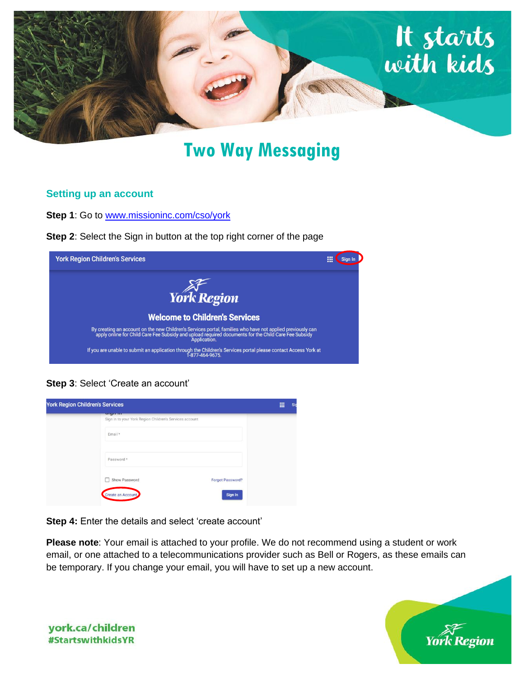

# **Two Way Messaging**

### **Setting up an account**

**Step 1:** Go to [www.missioninc.com/cso/york](http://www.missioninc.com/cso/york)

**Step 2**: Select the Sign in button at the top right corner of the page

| <b>York Region Children's Services</b>                                                                                                                                                                                             | <br>m |  |
|------------------------------------------------------------------------------------------------------------------------------------------------------------------------------------------------------------------------------------|-------|--|
| York Region                                                                                                                                                                                                                        |       |  |
|                                                                                                                                                                                                                                    |       |  |
| <b>Welcome to Children's Services</b>                                                                                                                                                                                              |       |  |
| By creating an account on the new Children's Services portal, families who have not applied previously can<br>apply online for Child Care Fee Subsidy and upload required documents for the Child Care Fee Subsidy<br>Application. |       |  |
| If you are unable to submit an application through the Children's Services portal please contact Access York at<br>1-877-464-9675.                                                                                                 |       |  |

**Step 3**: Select 'Create an account'

| <b>CASTLE AND</b><br>Sign in to your York Region Children's Services account |                         |  |
|------------------------------------------------------------------------------|-------------------------|--|
|                                                                              |                         |  |
| Email *                                                                      |                         |  |
|                                                                              |                         |  |
|                                                                              |                         |  |
| Password *                                                                   |                         |  |
|                                                                              |                         |  |
| Show Password                                                                | <b>Forgot Password?</b> |  |
|                                                                              |                         |  |
| Create an Account                                                            | Sign In                 |  |

**Step 4:** Enter the details and select 'create account'

**Please note**: Your email is attached to your profile. We do not recommend using a student or work email, or one attached to a telecommunications provider such as Bell or Rogers, as these emails can be temporary. If you change your email, you will have to set up a new account.



york.ca/children **#StartswithkidsYR**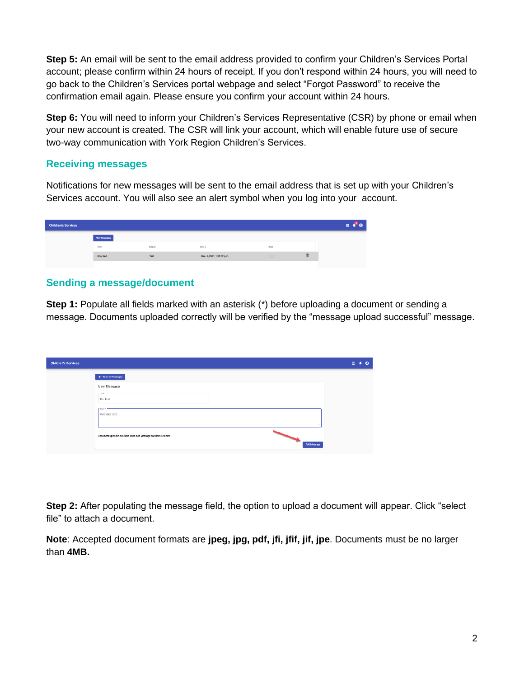**Step 5:** An email will be sent to the email address provided to confirm your Children's Services Portal account; please confirm within 24 hours of receipt. If you don't respond within 24 hours, you will need to go back to the Children's Services portal webpage and select "Forgot Password" to receive the confirmation email again. Please ensure you confirm your account within 24 hours.

**Step 6:** You will need to inform your Children's Services Representative (CSR) by phone or email when your new account is created. The CSR will link your account, which will enable future use of secure two-way communication with York Region Children's Services.

### **Receiving messages**

Notifications for new messages will be sent to the email address that is set up with your Children's Services account. You will also see an alert symbol when you log into your account.

| <b>New Message</b><br>Sent L<br>Subject<br>From<br>Read<br>$\begin{array}{c} \hline \end{array}$<br>Boo, Nad<br>Dec. 6, 2021, 1:35:52 p.m.<br>Test<br>$\Box$ | <b>Children's Services</b> |  |  |
|--------------------------------------------------------------------------------------------------------------------------------------------------------------|----------------------------|--|--|
|                                                                                                                                                              |                            |  |  |
|                                                                                                                                                              |                            |  |  |
|                                                                                                                                                              |                            |  |  |

## **Sending a message/document**

**Step 1:** Populate all fields marked with an asterisk (\*) before uploading a document or sending a message. Documents uploaded correctly will be verified by the "message upload successful" message.

| <b>Children's Services</b> |                                                                 | 田幸 | $\bullet$ |
|----------------------------|-----------------------------------------------------------------|----|-----------|
|                            | ← Back to Measages                                              |    |           |
|                            | New Message                                                     |    |           |
|                            | This f<br>RE Test                                               |    |           |
|                            | e Rode<br>message test                                          |    |           |
|                            | á.                                                              |    |           |
|                            | Document upload is available once Add Message has been selected |    |           |
|                            | Add Message                                                     |    |           |

**Step 2:** After populating the message field, the option to upload a document will appear. Click "select file" to attach a document.

**Note**: Accepted document formats are **jpeg, jpg, pdf, jfi, jfif, jif, jpe**. Documents must be no larger than **4MB.**